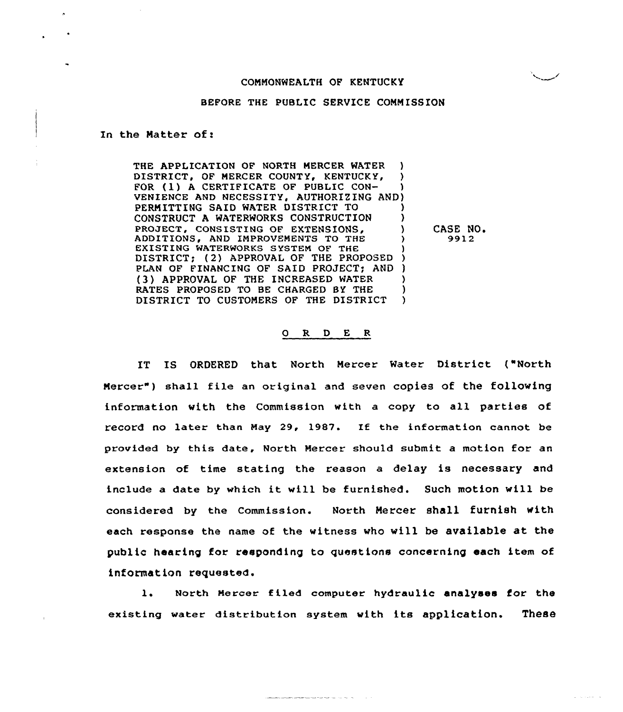## COMMONWEALTH OF KENTUCKY

## BEFORE THE PUBLIC SERVICE COMMISSION

In the Matter of:

THE APPLICATION OF NORTH MERCER WATER )<br>DISTRICT, OF MERCER COUNTY, KENTUCKY, ) DISTRICT, OF MERCER COUNTY, KENTUCKY, FOR (1) A CERTIFICATE OF PUBLIC CON-VENIENCE AND NECESSITY, AUTHORIZING AND) PERMITTING SAID WATER DISTRICT TO ) CONSTRUCT A WATERWORKS CONSTRUCTION PROJECT, CONSISTING OF EXTENSIONS, ADDITIONS, AND IMPROVEMENTS TO THE ) EXISTING WATERWORKS SYSTEM OF THE DISTRICT; (2) APPROVAL OF THE PROPOSED ) PLAN OF FINANCING OF SAID PROJECT; AND ) (3) APPROVAL OF THE INCREASED WATER (3) (3) APPROVAL OF THE 1997 CHARGED BY THE RATES PROPOSED TO BE CHARGED BY THE  $\qquad$ )<br>DISTRICT TO CUSTOMERS OF THE DISTRICT ) DISTRICT TO CUSTOMERS OF THE DISTRICT

CASE NO.<br>9912

## 0 R <sup>D</sup> E R

IT IS ORDERED that North Mercer Water District ("North Mercer" ) shall file an original and seven copies of the following information vith the Commission with a copy to all parties of record no later than May 29, 1987. If the information cannot be provided by this date, North Mercer should submit a motion for an extension of time stating the reason a delay is necessary and include <sup>a</sup> date by which it will be furnished. Such motion will be considered by the Commission. North Mercer shall furnish with each response the name of the witness vho vill be available at the public hearing for responding to questions concerning each item of information requested.

1. North Mercer filed computer hydraulic analyses for the existing water distribution system with its application. These

<u>The companion of the state of the state of the state of the state of the state of the state of the state of the state of the state of the state of the state of the state of the state of the state of the state of the state</u>

 $\Delta$  , and a second  $\Delta$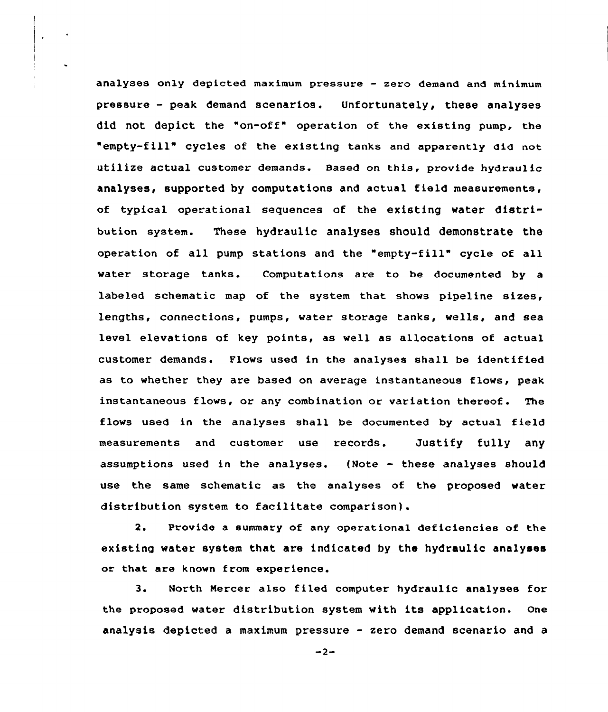analyses only depicted maximum pressure — zero demand and minimum pressure — peak demand scenarios. Unfortunately, these analyses did not depict the "on-off" operation of the existing pump, the "empty-fill" cycles of the existing tanks and apparently did not utilize actual customer demands. Based on this, provide hydraulic analyses, supported by computations and actual field measurements, of typical operational sequences of the existing water distribution system. These hydraulic analyses should demonstrate the operation of all pump stations and the "empty-fill" cycle of all water storage tanks. Computations are to be documented by a labeled schematic map of the system that shows pipeline sizes, lengths, connections, pumps, water storage tanks, wells, and sea level elevations of key points, as well as allocations of actual customer demands. Flows used in the analyses shall be identified as to whether they are based on average instantaneous flows, peak instantaneous flows, or any combination or variation thereof. The flows used in the analyses shall be documented by actual field measurements and customer use records. Justify fully any assumptions used in the analyses. (Note — these analyses should use the same schematic as the analyses of the proposed water distribution system to facilitate comparison].

2. Provide a summary of any operational deficlenciee of the existing water system that are indicated by the hydraulic analyses or that are known from experience.

3. North Mercer also filed computer hydraulic analyses for the proposed water distribution system with its application. one analysis depicted a maximum pressure — zero demand scenario and a

 $-2-$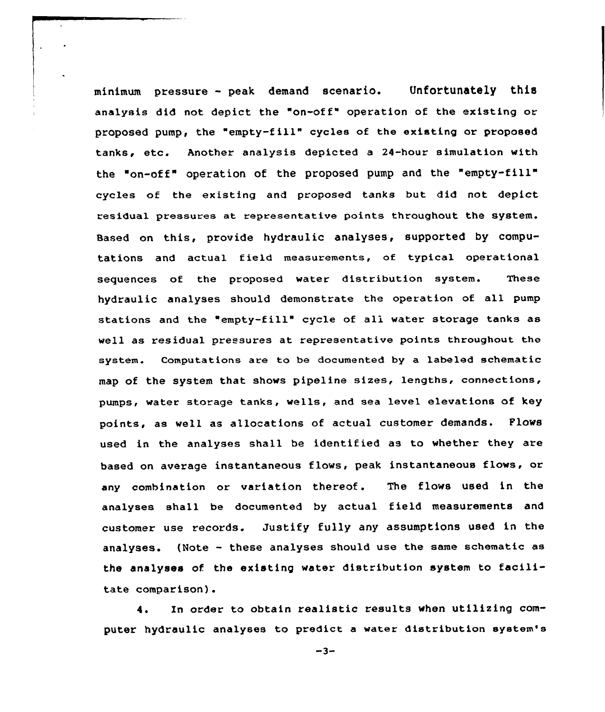minimum pressure — peak demand scenario. Unfortunately this analysis did not depict the "on-off" operation of the existing or proposed pump, the "empty-fill" cycles of the existing or proposed tanks, etc. Another analysis depicted <sup>a</sup> 24-hour simulation with the "on-off" operation of the proposed pump and the "empty-fill cycles of the existing and proposed tanks but did not depict residual pressures at representative points throughout the system. Based on this, provide hydraulic analyses, supported by computations and actual field measurements, of typical operational sequences of the proposed water distribution system. These hydraulic analyses should demonstrate the operation of all pump stations and the "empty-fill" cycle of all water storage tanks as well as residual pressures at representative points throughout the system. Computations are to be documented by a labeled schematic map of the system that shows pipeline sizes, lengths, connections, pumps< water storage tanks, wells, and sea level elevations of key points, as well as allocations of actual customer demands. Flows used in the analyses shall be identified as to whether they are based on average instantaneous flows, peak instantaneous flows, or any combination or variation thereof. The flows used in the analyses shall be documented by actual field measurements and customer use records. Justify fully any assumptions used in the analyses. (Note — these analyses should use the same schematic as the analyses of the existing water distribution system to facilitate comparison).

4. In order to obtain realistic results when utilizing computer hydraulic analyses to predict a water distribution system's

 $-3-$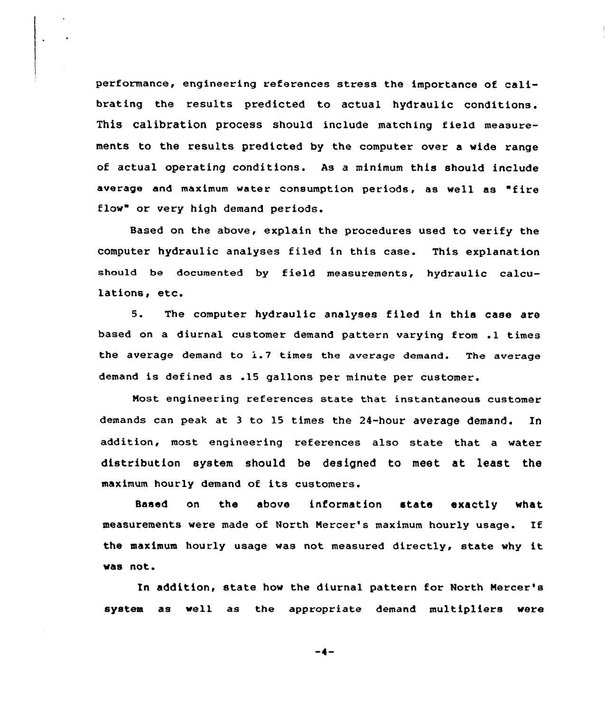performance, engineering references stress the importance of calibrating the results predicted to actual hydraulic conditions. This calibration process should include matching field measurements to the results predicted by the computer over a wide range of actual operating conditions. As a minimum this should include average and maximum water consumption periods, as well as "fire flow" or very high demand periods.

Based on the above, explain the procedures used to verify the computer hydraulic analyses filed in this case. This explanation should be documented by field measurements, hydraulic calculations, etc.

5. The computer hydraulic analyses filed in this case are based on <sup>a</sup> diurnal customer demand pattern varying from .1 times the average demand to 1.7 times the average demand. The average demand is defined as .15 gallons per minute per customer.

Nost engineering references state that instantaneous customer demands can peak at <sup>3</sup> to 15 times the 24-hour average demand. In addition, most engineering references also state that a water distribution system should be designed to meet at least the maximum hourly demand of its customers.

Based on the above information state exactly what measurements were made of North Mercer's maximum hourly usage. If the maximum hourly usage was not measured directly, state why it vas not.

In addition, state how the diurnal pattern for North Mercer's system as well as the appropriate demand multipliers vere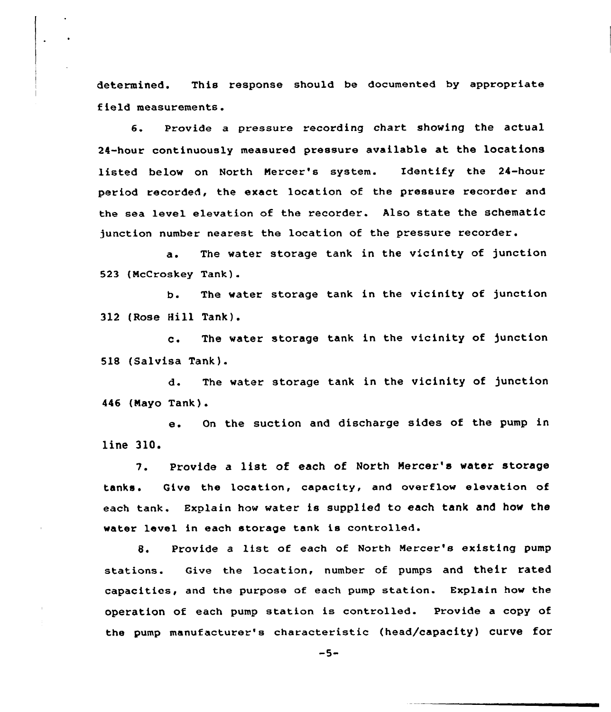determined. This response should be documented by appropriate field measurements.

6. Provide a pressure recording chart showing the actual 24-hour continuously measured pressure available at the locations listed below on North Mercer's system. Identify the 24-hour period recorded, the exact location of the pressure recorder and the sea level elevation of the recorder. Also state the schematic junction number nearest the location of the pressure recorder.

a. The water storage tank in the vicinity of junction 523 (NcCroskey Tank).

b. The water storage tank in the vicinity of junction 312 (Rose Hill Tank).

c. The water storage tank in the vicinity of junction 518 (Salvisa Tank).

d. The water storage tank in the vicinity of junction 446 (Nayo Tank).

e. On the suction and discharge sides of the pump in line 310.

7. Provide <sup>a</sup> list of each of North Nercer's water storage tanks. Give the location, capacity, and overflow elevation of each tank. Explain how water is supplied to each tank and how the water level in each storage tank is controlled.

8. Provide <sup>a</sup> list of each of North Mercer's existing pump stations. Give the location, number of pumps and their rated capacities, and the purpose of each pump station. Explain how the operation of each pump station is controlled. Provide a copy of the pump manufacturer's characteristic (head/capacity) curve for

 $-5-$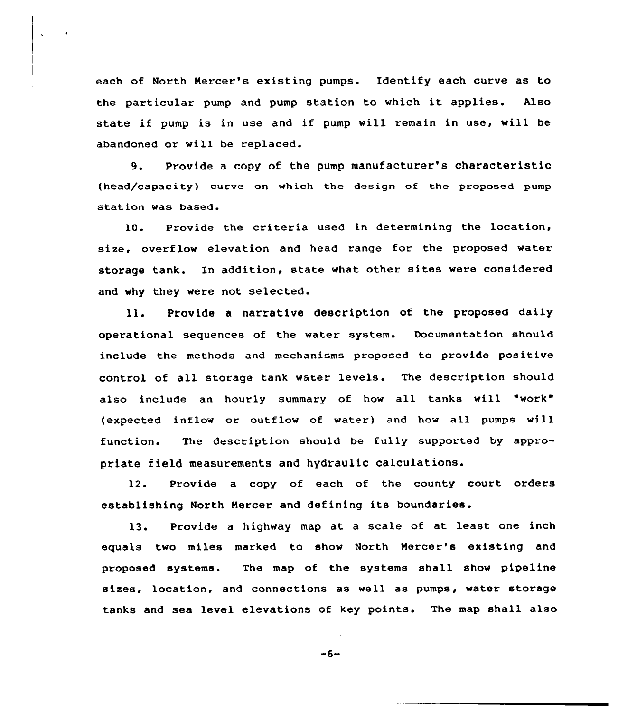each of North Nercer's existing pumps. Identify each curve as to the particular pump and pump station to which it applies. Also state if pump is in use and if pump will remain in use, will be abandoned or will be replaced.

9. Provide <sup>a</sup> copy of the pump manufacturer's characteristic (head/capacity) curve on which the design of the proposed pump station was based.

10. Provide the criteria used in determining the location, size, overflow elevation and head range for the proposed water storage tank. In addition, state what other sites were considered and vhy they vere not selected.

ll. Provide <sup>a</sup> narrative description of the proposed daily operational sequences of the water system. Documentation should include the methods and mechanisms proposed to provide positive control of all storage tank water levels. The description should also include an hourly summary of how all tanks will "work" (expected inflow or outflow of water) and how all pumps will function. The description should be fully supported by appropriate field measurements and hydraulic calculations.

12. Provide a copy of each of the county court orders establishing North Nercer and defining its boundaries.

13. Provide <sup>a</sup> highway map at <sup>a</sup> scale of at least one inch equals two miles marked to show North Nercer's existing and proposed systems. The map of the systems shall shov pipeline sizes, location, and connections as well as pumps, water storage tanks and sea level elevations of key points. The map shall also

 $-6-$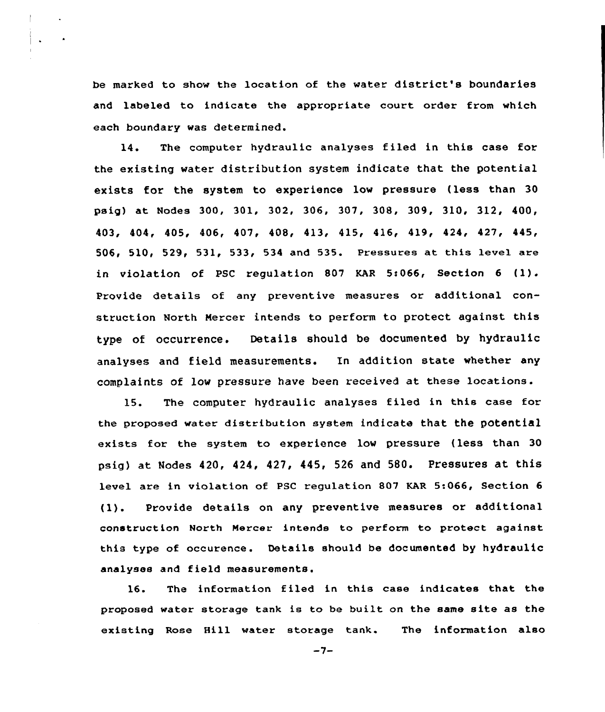be marked to show the location of the water district's boundaries and labeled to indicate the appropriate court order trom which each boundary was determined.

14. The computer hydraulic analyses filed in this case for the existing water distribution system indicate that the potential exists for the system to experience low pressure (less than 30 psig) at Nodes 300, 301, 302, 306, 307, 308, 309, 310, 312, 400, 403, 404, 405, 406, 407, 408, 413, 415, 416, 419, 424, 427, 445, 506, 510, 529, 531, 533, 534 and 535. Pressures at this level are in violation of PSC regulation 807 KAR 5:066, Section 6 (1). Provide details of any preventive measures or additional construction North Mercer intends to perform to protect against this type of occurrence. Details should be documented by hydraulic analyses and field measurements. In addition state whether any complaints of low pressure have been received at these locations.

15. The computer hydraulic analyses filed in this case for the proposed water distribution system indicate that the potential exists for the system to experience low pressure (less than 30 psig) at Nodes 420, 424, 427, 445, <sup>526</sup> and 580. Pressures at this level are in violation of PSC regulation 807 KAR 5:066, Section 6 (1). Provide details on any preventive measures or additional construction North Mercer intends to perform to protect against this type of occurence. Details should be documented by hydraulic analyses and field measurements.

16. The information filed in this case indicates that the proposed water storage tank is to be built on the same site as the existing Rose Hill water storage tank. The information also

 $-7-$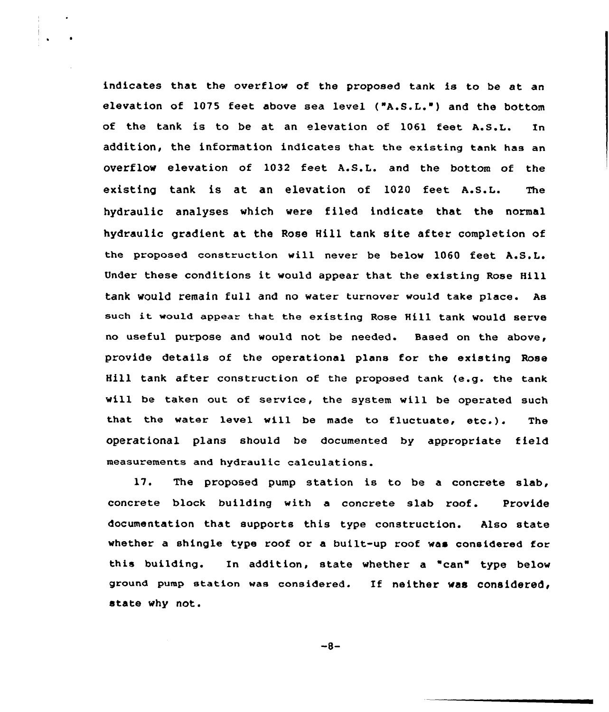indicates that, the overflow of the proposed tank is to be at an elevation of 1075 feet above sea level ("A.S.L.") and the bottom of the tank is to be at an elevation of 1061 Eeet A.S.L. In addition, the information indicates that the existing tank has an overflow elevation of 1032 feet A.S.L. and the bottom of the existing tank is at an elevation of 1020 feet A.S.L. The hydraulic analyses which were filed indicate that the normal hydraulic gradient at the Rose Hill tank site after completion of the proposed construction will never be below 1060 feet A.S.L. Under these conditions it would appear that the existing Rose Hill tank would remain full and no water turnover would take place. As such it would appear that the existing Rose Hill tank would serve no useful purpose and would not be needed. Based on the above, provide details of the operational plans for the existing Rose Hill tank after construction of the proposed tank (e.g. the tank will be taken out of service, the system will be operated such that the water level will be made to fluctuate, etc.). The operational plans should be documented by appropriate field measurements and hydraulic calculations.

17. The proposed pump station is to be a concrete slab, concrete block building with a concrete slab roof. Provide documentation that supports this type construction. Also state whether a shingle type roof or a built-up roof was considered for this building. In addition, state whether a "can" type below ground pump station was considered. If neither was considered, state why not.

 $-8-$